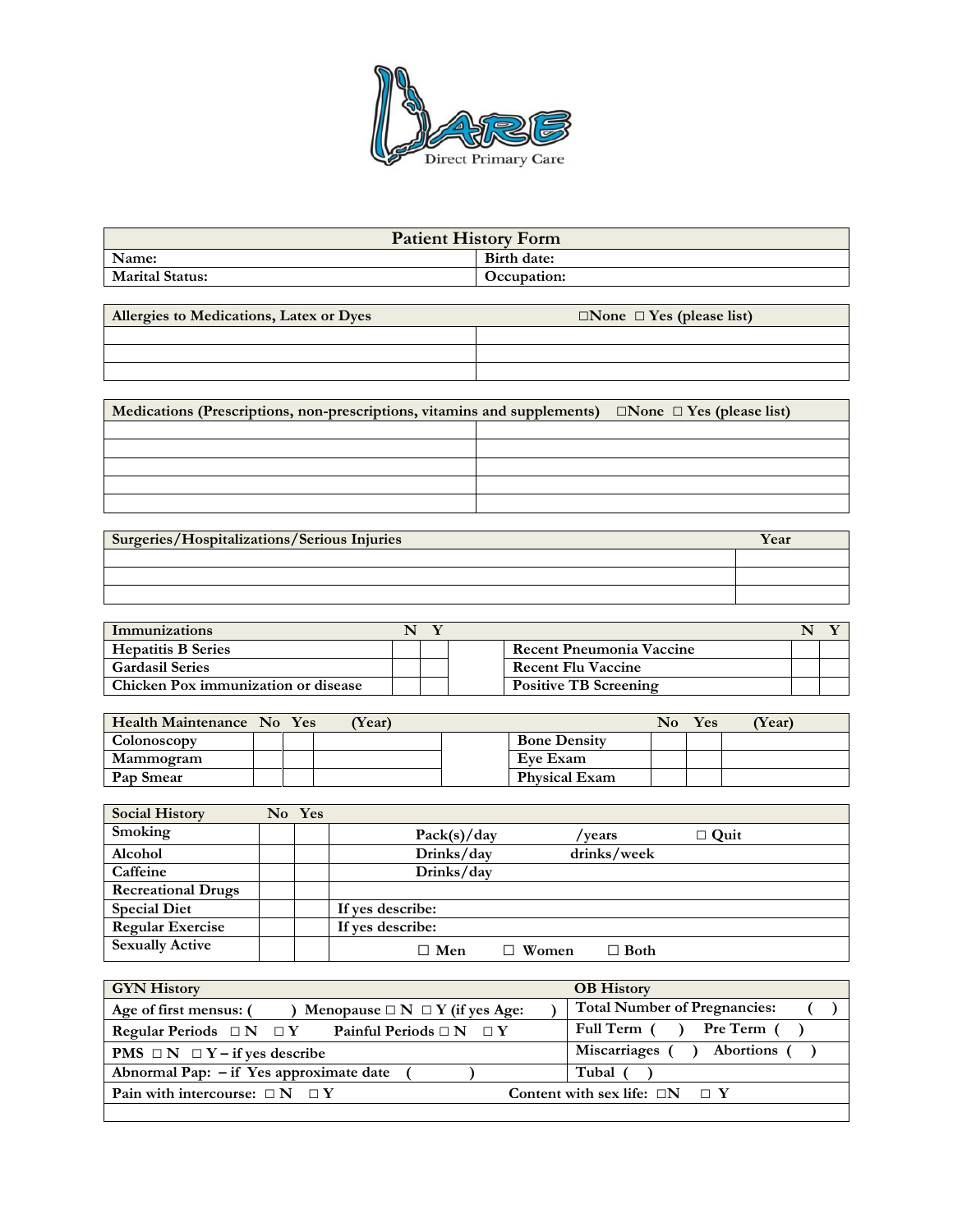

| <b>Patient History Form</b> |             |  |  |  |  |
|-----------------------------|-------------|--|--|--|--|
| Name:<br>Birth date:        |             |  |  |  |  |
| <b>Marital Status:</b>      | Occupation: |  |  |  |  |

| Allergies to Medications, Latex or Dyes | $\Box$ None $\Box$ Yes (please list) |  |  |  |  |
|-----------------------------------------|--------------------------------------|--|--|--|--|
|                                         |                                      |  |  |  |  |
|                                         |                                      |  |  |  |  |
|                                         |                                      |  |  |  |  |

| Medications (Prescriptions, non-prescriptions, vitamins and supplements) | $\Box$ None $\Box$ Yes (please list) |  |
|--------------------------------------------------------------------------|--------------------------------------|--|
|                                                                          |                                      |  |
|                                                                          |                                      |  |
|                                                                          |                                      |  |
|                                                                          |                                      |  |
|                                                                          |                                      |  |

| <b>Surgeries/Hospitalizations/Serious Injuries</b> | Year |
|----------------------------------------------------|------|
|                                                    |      |
|                                                    |      |
|                                                    |      |

| Immunizations                       |  |                              |  |  |
|-------------------------------------|--|------------------------------|--|--|
| <b>Hepatitis B Series</b>           |  | Recent Pneumonia Vaccine     |  |  |
| <b>Gardasil Series</b>              |  | <b>Recent Flu Vaccine</b>    |  |  |
| Chicken Pox immunization or disease |  | <b>Positive TB Screening</b> |  |  |

| Health Maintenance No Yes |  | <b>Year</b> ) |                      | No | Yes | (Year) |
|---------------------------|--|---------------|----------------------|----|-----|--------|
| Colonoscopy               |  |               | <b>Bone Density</b>  |    |     |        |
| Mammogram                 |  |               | Eve Exam             |    |     |        |
| Pap Smear                 |  |               | <b>Physical Exam</b> |    |     |        |

| <b>Social History</b>     | No Yes |                  |       |             |             |  |
|---------------------------|--------|------------------|-------|-------------|-------------|--|
| Smoking                   |        | Pack(s)/day      |       | / years     | $\Box$ Quit |  |
| Alcohol                   |        | Drinks/day       |       | drinks/week |             |  |
| Caffeine                  |        | Drinks/day       |       |             |             |  |
| <b>Recreational Drugs</b> |        |                  |       |             |             |  |
| <b>Special Diet</b>       |        | If yes describe: |       |             |             |  |
| <b>Regular Exercise</b>   |        | If yes describe: |       |             |             |  |
| <b>Sexually Active</b>    |        | $\Box$ Men       | Women | $\Box$ Both |             |  |

| <b>GYN History</b>                                               | <b>OB</b> History                        |
|------------------------------------------------------------------|------------------------------------------|
| Age of first mensus: (<br>Menopause $\Box N \Box Y$ (if yes Age: | <b>Total Number of Pregnancies:</b>      |
| Regular Periods $\Box N \Box Y$ Painful Periods $\Box N \Box Y$  | Full Term () Pre Term ()                 |
| <b>PMS</b> $\Box N$ $\Box Y$ - if yes describe                   | Miscarriages (<br><b>Abortions</b> (     |
| Abnormal Pap: - if Yes approximate date                          | Tubal (                                  |
| Pain with intercourse: $\Box N$ $\Box Y$                         | Content with sex life: $\Box N$ $\Box Y$ |
|                                                                  |                                          |